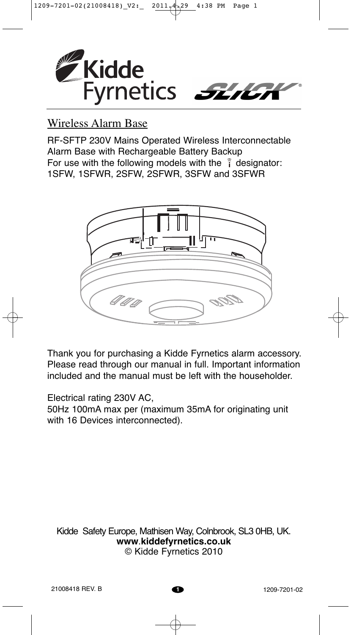

# Wireless Alarm Base

RF-SFTP 230V Mains Operated Wireless Interconnectable Alarm Base with Rechargeable Battery Backup For use with the following models with the  $\hat{i}$  designator: 1SFW, 1SFWR, 2SFW, 2SFWR, 3SFW and 3SFWR



Thank you for purchasing a Kidde Fyrnetics alarm accessory. Please read through our manual in full. Important information included and the manual must be left with the householder.

Electrical rating 230V AC,

50Hz 100mA max per (maximum 35mA for originating unit with 16 Devices interconnected).

Kidde Safety Europe, Mathisen Way, Colnbrook, SL3 0HB, UK. **www**.**kiddefyrnetics.co.uk** © Kidde Fyrnetics 2010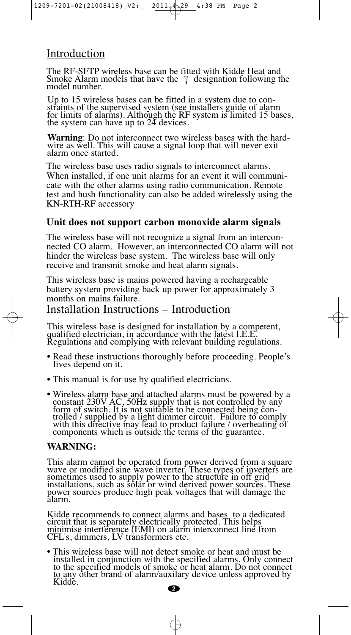# Introduction

The RF-SFTP wireless base can be fitted with Kidde Heat and Smoke Alarm models that have the  $\hat{i}$  designation following the model number.

Up to 15 wireless bases can be fitted in a system due to constraints of the supervised system (see installers guide of alarm for limits of alarms). Although the RF system is limited 15 bases, the system can have up to 24 devices.

**Warning**: Do not interconnect two wireless bases with the hardwire as well. This will cause a signal loop that will never exit alarm once started.

The wireless base uses radio signals to interconnect alarms. When installed, if one unit alarms for an event it will communicate with the other alarms using radio communication. Remote test and hush functionality can also be added wirelessly using the KN-RTH-RF accessory

### **Unit does not support carbon monoxide alarm signals**

The wireless base will not recognize a signal from an interconnected CO alarm. However, an interconnected CO alarm will not hinder the wireless base system. The wireless base will only receive and transmit smoke and heat alarm signals.

This wireless base is mains powered having a rechargeable battery system providing back up power for approximately 3 months on mains failure.

## Installation Instructions – Introduction

This wireless base is designed for installation by a competent, qualified electrician, in accordance with the latest I.E.E. Regulations and complying with relevant building regulations.

- Read these instructions thoroughly before proceeding. People's lives depend on it.
- This manual is for use by qualified electricians.
- Wireless alarm base and attached alarms must be powered by a constant 230V AC, 50Hz supply that is not controlled by any form of switch. It is not suitable to be connected being controlled / supplied by a light dimmer circuit. Failure to comply with this directive may lead to product failure / overheating of components which is outside the terms of the guarantee.

### **WARNING:**

This alarm cannot be operated from power derived from a square wave or modified sine wave inverter. These types of inverters are sometimes used to supply power to the structure in off grid installations, such as solar or wind derived power sources. These power sources produce high peak voltages that will damage the alarm.

Kidde recommends to connect alarms and bases to a dedicated circuit that is separately electrically protected. This helps minimise interference (EMI) on alarm interconnect line from CFL's, dimmers, LV transformers etc.

• This wireless base will not detect smoke or heat and must be installed in conjunction with the specified alarms. Only connect to the specified models of smoke or heat alarm. Do not connect to any other brand of alarm/auxilary device unless approved by Kidde.

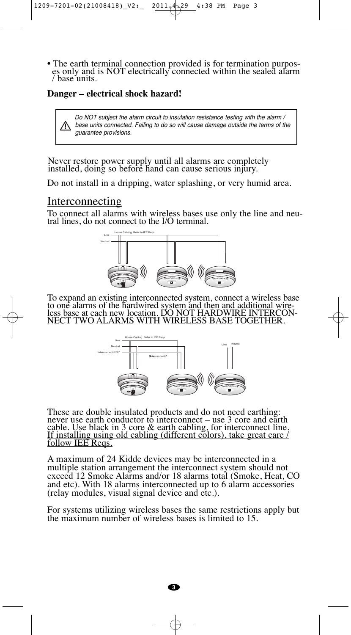• The earth terminal connection provided is for termination purposes only and is NOT electrically connected within the sealed alarm / base units.

#### **Danger – electrical shock hazard!**

Do NOT subject the alarm circuit to insulation resistance testing with the alarm / base units connected. Failing to do so will cause damage outside the terms of the guarantee provisions.

Never restore power supply until all alarms are completely installed, doing so before hand can cause serious injury.

Do not install in a dripping, water splashing, or very humid area.

#### **Interconnecting**

To connect all alarms with wireless bases use only the line and neutral lines, do not connect to the I/O terminal.



To expand an existing interconnected system, connect a wireless base to one alarms of the hardwired system and then and additional wireless base at each new location. DO NOT HARDWIRE INTERCON-NECT TWO ALARMS WITH WIRELESS BASE TOGETHER.



These are double insulated products and do not need earthing: never use earth conductor to interconnect – use 3 core and earth cable. Use black in 3 core & earth cabling, for interconnect line. If installing using old cabling (different colors), take great care / follow IEE Reqs.

A maximum of 24 Kidde devices may be interconnected in a multiple station arrangement the interconnect system should not exceed 12 Smoke Alarms and/or 18 alarms total (Smoke, Heat, CO and etc). With 18 alarms interconnected up to 6 alarm accessories (relay modules, visual signal device and etc.).

For systems utilizing wireless bases the same restrictions apply but the maximum number of wireless bases is limited to 15.

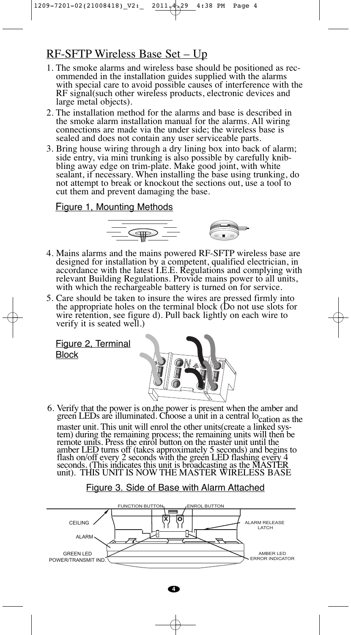# RF-SFTP Wireless Base Set – Up

- 1. The smoke alarms and wireless base should be positioned as recommended in the installation guides supplied with the alarms with special care to avoid possible causes of interference with the RF signal(such other wireless products, electronic devices and large metal objects).
- 2. The installation method for the alarms and base is described in the smoke alarm installation manual for the alarms. All wiring connections are made via the under side; the wireless base is sealed and does not contain any user serviceable parts.
- 3. Bring house wiring through a dry lining box into back of alarm; side entry, via mini trunking is also possible by carefully knibbling away edge on trim-plate. Make good joint, with white sealant, if necessary. When installing the base using trunking, do not attempt to break or knockout the sections out, use a tool to cut them and prevent damaging the base.

#### Figure 1, Mounting Methods



- 4. Mains alarms and the mains powered RF-SFTP wireless base are designed for installation by a competent, qualified electrician, in accordance with the latest I.E.E. Regulations and complying with relevant Building Regulations. Provide mains power to all units, with which the rechargeable battery is turned on for service.
- 5. Care should be taken to insure the wires are pressed firmly into the appropriate holes on the terminal block (Do not use slots for wire retention, see figure d). Pull back lightly on each wire to verify it is seated well.)

Figure 2, Terminal Block



6. Verify that the power is on,the power is present when the amber and green LEDs are illuminated. Choose a unit in a central location as the master unit. This unit will enrol the other units(create a linked system) during the remaining process; the remaining units will then be remote units. Press the enrol button on the master unit until the amber LED turns off (takes approximately 5 seconds) and begins to flash on/off every 2 seconds with the green LED flashing every 4 seconds. (This indicates this unit is broadcasting as the MASTER unit). THIS UNIT IS NOW THE MASTER WIRELESS BASE

### Figure 3. Side of Base with Alarm Attached

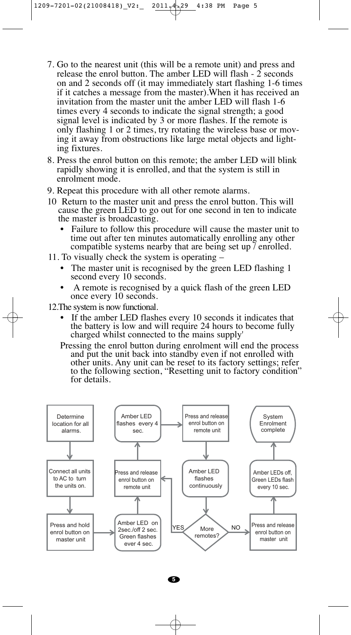- 7. Go to the nearest unit (this will be a remote unit) and press and release the enrol button. The amber LED will flash - 2 seconds on and 2 seconds off (it may immediately start flashing 1-6 times if it catches a message from the master).When it has received an invitation from the master unit the amber LED will flash 1-6 times every 4 seconds to indicate the signal strength; a good signal level is indicated by 3 or more flashes. If the remote is only flashing 1 or 2 times, try rotating the wireless base or moving it away from obstructions like large metal objects and lighting fixtures.
- 8. Press the enrol button on this remote; the amber LED will blink rapidly showing it is enrolled, and that the system is still in enrolment mode.
- 9. Repeat this procedure with all other remote alarms.
- 10 Return to the master unit and press the enrol button. This will cause the green LED to go out for one second in ten to indicate the master is broadcasting.
	- Failure to follow this procedure will cause the master unit to time out after ten minutes automatically enrolling any other compatible systems nearby that are being set up / enrolled.
- 11. To visually check the system is operating
	- The master unit is recognised by the green LED flashing 1 second every 10 seconds.
	- A remote is recognised by a quick flash of the green LED once every 10 seconds.
- 12.The system is now functional.
	- If the amber LED flashes every 10 seconds it indicates that the battery is low and will require 24 hours to become fully charged whilst connected to the mains supply'
	- Pressing the enrol button during enrolment will end the process and put the unit back into standby even if not enrolled with other units. Any unit can be reset to its factory settings; refer to the following section, "Resetting unit to factory condition" for details.

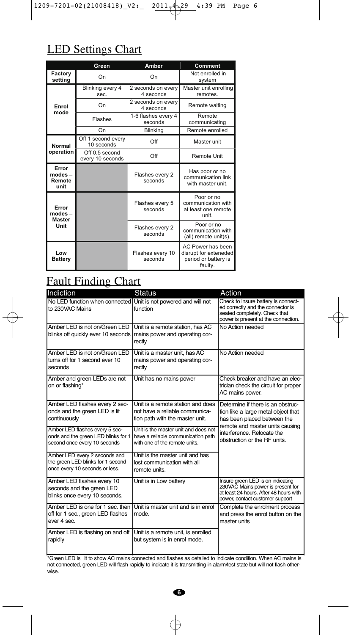# LED Settings Chart

| 4:39<br>$9-7201-02(21008418)$ V2:<br>2011.<br>29<br>PM<br>Ε<br><b>LED Settings Chart</b> |                                    |                                 |                                                                               |  |
|------------------------------------------------------------------------------------------|------------------------------------|---------------------------------|-------------------------------------------------------------------------------|--|
|                                                                                          | Green                              | Amber                           | Comment                                                                       |  |
| Factory<br>setting                                                                       | On                                 | On                              | Not enrolled in<br>system                                                     |  |
| Enrol<br>mode                                                                            | Blinking every 4<br>sec.           | 2 seconds on every<br>4 seconds | Master unit enrolling<br>remotes.                                             |  |
|                                                                                          | On                                 | 2 seconds on every<br>4 seconds | Remote waiting                                                                |  |
|                                                                                          | Flashes                            | 1-6 flashes every 4<br>seconds  | Remote<br>communicating                                                       |  |
|                                                                                          | On                                 | <b>Blinking</b>                 | Remote enrolled                                                               |  |
| Normal<br>operation                                                                      | Off 1 second every<br>10 seconds   | Off                             | Master unit                                                                   |  |
|                                                                                          | Off 0.5 second<br>every 10 seconds | Off                             | <b>Remote Unit</b>                                                            |  |
| Error<br>modes -<br>Remote<br>unit                                                       |                                    | Flashes every 2<br>seconds      | Has poor or no<br>communication link<br>with master unit.                     |  |
| Error<br>modes-<br><b>Master</b><br>Unit                                                 |                                    | Flashes every 5<br>seconds      | Poor or no<br>communication with<br>at least one remote<br>unit.              |  |
|                                                                                          |                                    | Flashes every 2<br>seconds      | Poor or no<br>communication with<br>(all) remote unit(s).                     |  |
| Low<br><b>Battery</b>                                                                    |                                    | Flashes every 10<br>seconds     | AC Power has been<br>disrupt for exteneded<br>period or battery is<br>faulty. |  |

# Fault Finding Chart

| Indiction                                                                                             | Status                                                                                                      | Action                                                                                                                                              |  |
|-------------------------------------------------------------------------------------------------------|-------------------------------------------------------------------------------------------------------------|-----------------------------------------------------------------------------------------------------------------------------------------------------|--|
| No LED function when connected Unit is not powered and will not<br>to 230VAC Mains                    | function                                                                                                    | Check to insure battery is connect-<br>ed correctly and the connector is<br>seated completely. Check that<br>power is present at the connection.    |  |
| Amber LED is not on/Green LED<br>blinks off quickly ever 10 seconds   mains power and operating cor-  | Unit is a remote station, has AC<br>rectly                                                                  | No Action needed                                                                                                                                    |  |
| Amber LED is not on/Green LED<br>turns off for 1 second ever 10<br>seconds                            | Unit is a master unit. has AC<br>mains power and operating cor-<br>rectly                                   | No Action needed                                                                                                                                    |  |
| Amber and green LEDs are not<br>on or flashing*                                                       | Unit has no mains power                                                                                     | Check breaker and have an elec-<br>trician check the circuit for proper<br>AC mains power.                                                          |  |
| Amber LED flashes every 2 sec-<br>onds and the green LED is lit<br>continuously                       | Unit is a remote station and does<br>not have a reliable communica-<br>tion path with the master unit.      | Determine if there is an obstruc-<br>tion like a large metal object that<br>has been placed between the<br>remote and master units causing          |  |
| Amber LED flashes every 5 sec-<br>onds and the green LED blinks for 1<br>second once every 10 seconds | Unit is the master unit and does not<br>have a reliable communication path<br>with one of the remote units. | interference. Relocate the<br>obstruction or the RF units.                                                                                          |  |
| Amber LED every 2 seconds and<br>the green LED blinks for 1 second<br>once every 10 seconds or less.  | Unit is the master unit and has<br>lost communication with all<br>remote units.                             |                                                                                                                                                     |  |
| Amber LED flashes every 10<br>seconds and the green LED<br>blinks once every 10 seconds.              | Unit is in Low battery                                                                                      | Insure green LED is on indicating<br>230VAC Mains power is present for<br>at least 24 hours. After 48 hours with<br>power, contact customer support |  |
| Amber LED is one for 1 sec. then<br>off for 1 sec., green LED flashes<br>ever 4 sec.                  | Unit is master unit and is in enrol<br>mode.                                                                | Complete the enrolment process<br>and press the enrol button on the<br>master units                                                                 |  |
| Amber LED is flashing on and off<br>rapidly                                                           | Unit is a remote unit, is enrolled<br>but system is in enrol mode.                                          |                                                                                                                                                     |  |

\*Green LED is lit to show AC mains connected and flashes as detailed to indicate condition. When AC mains is not connected, green LED will flash rapidly to indicate it is transmitting in alarm/test state but will not flash otherwise.



 $\oplus$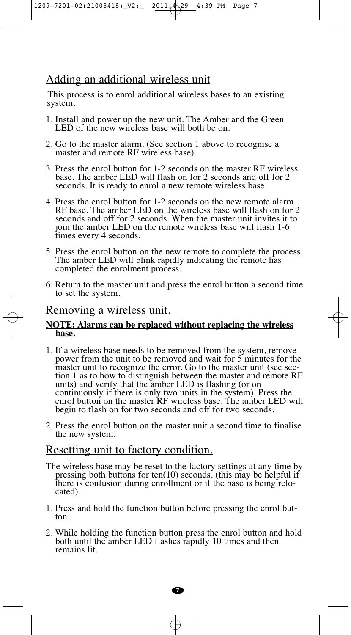1209-7201-02(21008418)\_V2:\_ 2011.4.29 4:39 PM Page 7

## Adding an additional wireless unit

This process is to enrol additional wireless bases to an existing system.

- 1. Install and power up the new unit. The Amber and the Green LED of the new wireless base will both be on.
- 2. Go to the master alarm. (See section 1 above to recognise a master and remote RF wireless base).
- 3. Press the enrol button for 1-2 seconds on the master RF wireless base. The amber LED will flash on for 2 seconds and off for 2 seconds. It is ready to enrol a new remote wireless base.
- 4. Press the enrol button for 1-2 seconds on the new remote alarm RF base. The amber LED on the wireless base will flash on for 2 seconds and off for 2 seconds. When the master unit invites it to join the amber LED on the remote wireless base will flash 1-6 times every 4 seconds.
- 5. Press the enrol button on the new remote to complete the process. The amber LED will blink rapidly indicating the remote has completed the enrolment process.
- 6. Return to the master unit and press the enrol button a second time to set the system.

#### Removing a wireless unit.

#### **NOTE: Alarms can be replaced without replacing the wireless base.**

- 1. If a wireless base needs to be removed from the system, remove power from the unit to be removed and wait for 5 minutes for the master unit to recognize the error. Go to the master unit (see section 1 as to how to distinguish between the master and remote RF units) and verify that the amber LED is flashing (or on continuously if there is only two units in the system). Press the enrol button on the master RF wireless base. The amber LED will begin to flash on for two seconds and off for two seconds.
- 2. Press the enrol button on the master unit a second time to finalise the new system.

### Resetting unit to factory condition.

- The wireless base may be reset to the factory settings at any time by pressing both buttons for ten(10) seconds. (this may be helpful if there is confusion during enrollment or if the base is being relocated).
- 1. Press and hold the function button before pressing the enrol button.
- 2. While holding the function button press the enrol button and hold both until the amber LED flashes rapidly 10 times and then remains lit.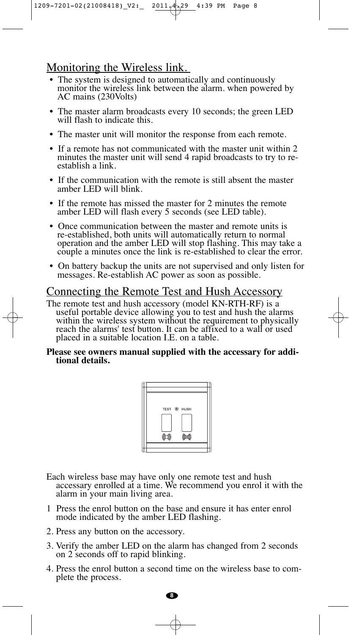### Monitoring the Wireless link.

- The system is designed to automatically and continuously monitor the wireless link between the alarm. when powered by AC mains (230Volts)
- The master alarm broadcasts every 10 seconds; the green LED will flash to indicate this.
- The master unit will monitor the response from each remote.
- If a remote has not communicated with the master unit within 2 minutes the master unit will send 4 rapid broadcasts to try to reestablish a link.
- If the communication with the remote is still absent the master amber LED will blink.
- If the remote has missed the master for 2 minutes the remote amber LED will flash every 5 seconds (see LED table).
- Once communication between the master and remote units is re-established, both units will automatically return to normal operation and the amber LED will stop flashing. This may take a couple a minutes once the link is re-established to clear the error.
- On battery backup the units are not supervised and only listen for messages. Re-establish AC power as soon as possible.

### Connecting the Remote Test and Hush Accessory

The remote test and hush accessory (model KN-RTH-RF) is a useful portable device allowing you to test and hush the alarms within the wireless system without the requirement to physically reach the alarms' test button. It can be affixed to a wall or used placed in a suitable location I.E. on a table.

#### **Please see owners manual supplied with the accessary for additional details.**



Each wireless base may have only one remote test and hush accessary enrolled at a time. We recommend you enrol it with the alarm in your main living area.

- 1 Press the enrol button on the base and ensure it has enter enrol mode indicated by the amber LED flashing.
- 2. Press any button on the accessory.
- 3. Verify the amber LED on the alarm has changed from 2 seconds on 2 seconds off to rapid blinking.
- 4. Press the enrol button a second time on the wireless base to complete the process.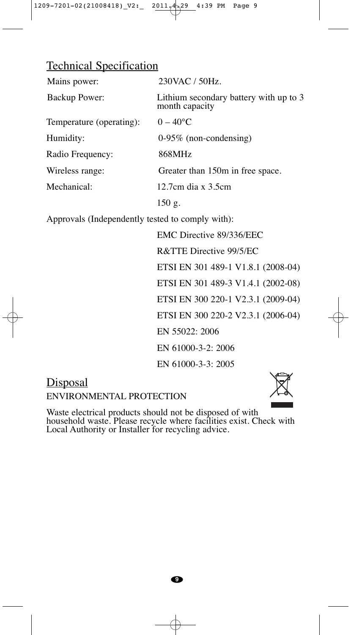### Technical Specification

| Mains power:             | 230VAC / 50Hz.                                           |
|--------------------------|----------------------------------------------------------|
| Backup Power:            | Lithium secondary battery with up to 3<br>month capacity |
| Temperature (operating): | $0 - 40$ °C                                              |
| Humidity:                | $0-95\%$ (non-condensing)                                |
| Radio Frequency:         | 868MHz                                                   |
| Wireless range:          | Greater than 150m in free space.                         |
| Mechanical:              | 12.7cm dia x 3.5cm                                       |
|                          | $150$ g.                                                 |

Approvals (Independently tested to comply with):

EMC Directive 89/336/EEC R&TTE Directive 99/5/EC ETSI EN 301 489-1 V1.8.1 (2008-04) ETSI EN 301 489-3 V1.4.1 (2002-08) ETSI EN 300 220-1 V2.3.1 (2009-04) ETSI EN 300 220-2 V2.3.1 (2006-04) EN 55022: 2006 EN 61000-3-2: 2006 EN 61000-3-3: 2005

# **Disposal**

ENVIRONMENTAL PROTECTION



Waste electrical products should not be disposed of with household waste. Please recycle where facilities exist. Check with Local Authority or Installer for recycling advice.